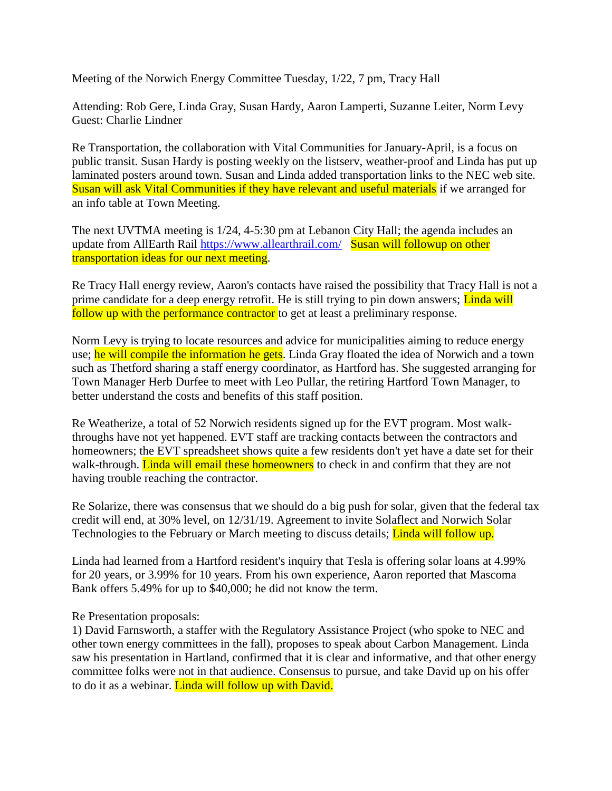Meeting of the Norwich Energy Committee Tuesday, 1/22, 7 pm, Tracy Hall

Attending: Rob Gere, Linda Gray, Susan Hardy, Aaron Lamperti, Suzanne Leiter, Norm Levy Guest: Charlie Lindner

Re Transportation, the collaboration with Vital Communities for January-April, is a focus on public transit. Susan Hardy is posting weekly on the listserv, weather-proof and Linda has put up laminated posters around town. Susan and Linda added transportation links to the NEC web site. Susan will ask Vital Communities if they have relevant and useful materials if we arranged for an info table at Town Meeting.

The next UVTMA meeting is 1/24, 4-5:30 pm at Lebanon City Hall; the agenda includes an update from AllEarth Rail<https://www.allearthrail.com/>Susan will followup on other transportation ideas for our next meeting.

Re Tracy Hall energy review, Aaron's contacts have raised the possibility that Tracy Hall is not a prime candidate for a deep energy retrofit. He is still trying to pin down answers; Linda will follow up with the performance contractor to get at least a preliminary response.

Norm Levy is trying to locate resources and advice for municipalities aiming to reduce energy use; he will compile the information he gets. Linda Gray floated the idea of Norwich and a town such as Thetford sharing a staff energy coordinator, as Hartford has. She suggested arranging for Town Manager Herb Durfee to meet with Leo Pullar, the retiring Hartford Town Manager, to better understand the costs and benefits of this staff position.

Re Weatherize, a total of 52 Norwich residents signed up for the EVT program. Most walkthroughs have not yet happened. EVT staff are tracking contacts between the contractors and homeowners; the EVT spreadsheet shows quite a few residents don't yet have a date set for their walk-through. Linda will email these homeowners to check in and confirm that they are not having trouble reaching the contractor.

Re Solarize, there was consensus that we should do a big push for solar, given that the federal tax credit will end, at 30% level, on 12/31/19. Agreement to invite Solaflect and Norwich Solar Technologies to the February or March meeting to discuss details; **Linda will follow up.** 

Linda had learned from a Hartford resident's inquiry that Tesla is offering solar loans at 4.99% for 20 years, or 3.99% for 10 years. From his own experience, Aaron reported that Mascoma Bank offers 5.49% for up to \$40,000; he did not know the term.

Re Presentation proposals:

1) David Farnsworth, a staffer with the Regulatory Assistance Project (who spoke to NEC and other town energy committees in the fall), proposes to speak about Carbon Management. Linda saw his presentation in Hartland, confirmed that it is clear and informative, and that other energy committee folks were not in that audience. Consensus to pursue, and take David up on his offer to do it as a webinar. Linda will follow up with David.